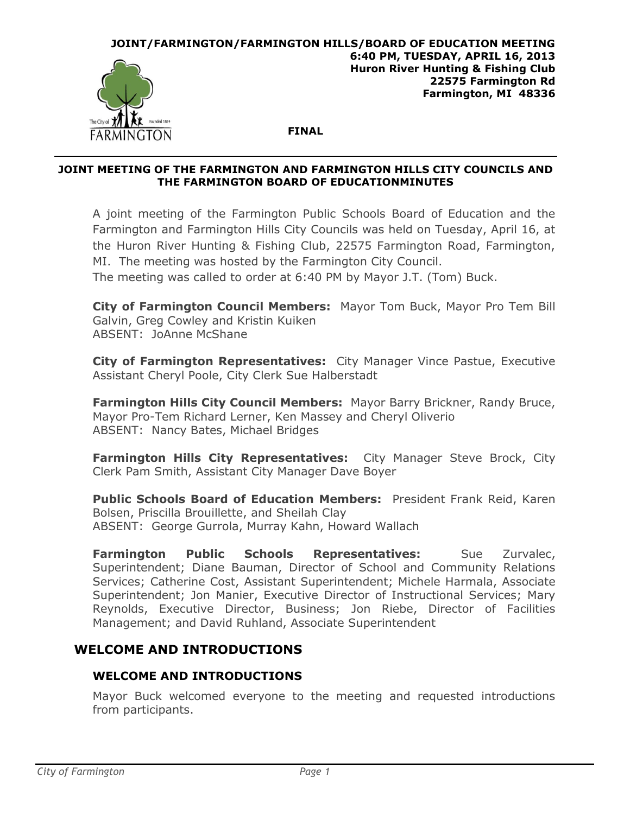

#### **JOINT MEETING OF THE FARMINGTON AND FARMINGTON HILLS CITY COUNCILS AND THE FARMINGTON BOARD OF EDUCATIONMINUTES**

A joint meeting of the Farmington Public Schools Board of Education and the Farmington and Farmington Hills City Councils was held on Tuesday, April 16, at the Huron River Hunting & Fishing Club, 22575 Farmington Road, Farmington, MI. The meeting was hosted by the Farmington City Council.

The meeting was called to order at 6:40 PM by Mayor J.T. (Tom) Buck.

**City of Farmington Council Members:** Mayor Tom Buck, Mayor Pro Tem Bill Galvin, Greg Cowley and Kristin Kuiken ABSENT: JoAnne McShane

**City of Farmington Representatives:** City Manager Vince Pastue, Executive Assistant Cheryl Poole, City Clerk Sue Halberstadt

**Farmington Hills City Council Members:** Mayor Barry Brickner, Randy Bruce, Mayor Pro-Tem Richard Lerner, Ken Massey and Cheryl Oliverio ABSENT: Nancy Bates, Michael Bridges

**Farmington Hills City Representatives:** City Manager Steve Brock, City Clerk Pam Smith, Assistant City Manager Dave Boyer

**Public Schools Board of Education Members:** President Frank Reid, Karen Bolsen, Priscilla Brouillette, and Sheilah Clay ABSENT: George Gurrola, Murray Kahn, Howard Wallach

**Farmington Public Schools Representatives:** Sue Zurvalec, Superintendent; Diane Bauman, Director of School and Community Relations Services; Catherine Cost, Assistant Superintendent; Michele Harmala, Associate Superintendent; Jon Manier, Executive Director of Instructional Services; Mary Reynolds, Executive Director, Business; Jon Riebe, Director of Facilities Management; and David Ruhland, Associate Superintendent

# **WELCOME AND INTRODUCTIONS**

## **WELCOME AND INTRODUCTIONS**

Mayor Buck welcomed everyone to the meeting and requested introductions from participants.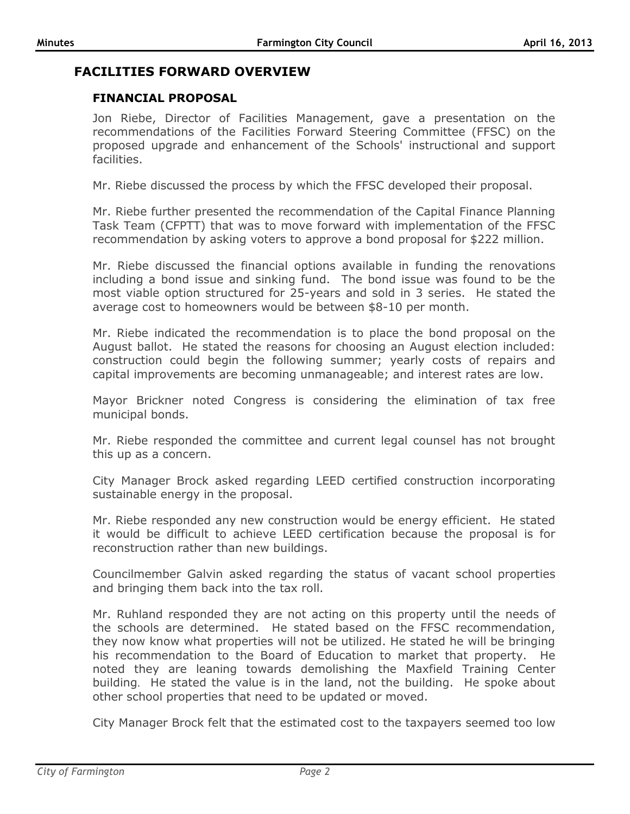## **FACILITIES FORWARD OVERVIEW**

### **FINANCIAL PROPOSAL**

Jon Riebe, Director of Facilities Management, gave a presentation on the recommendations of the Facilities Forward Steering Committee (FFSC) on the proposed upgrade and enhancement of the Schools' instructional and support facilities.

Mr. Riebe discussed the process by which the FFSC developed their proposal.

Mr. Riebe further presented the recommendation of the Capital Finance Planning Task Team (CFPTT) that was to move forward with implementation of the FFSC recommendation by asking voters to approve a bond proposal for \$222 million.

Mr. Riebe discussed the financial options available in funding the renovations including a bond issue and sinking fund. The bond issue was found to be the most viable option structured for 25-years and sold in 3 series. He stated the average cost to homeowners would be between \$8-10 per month.

Mr. Riebe indicated the recommendation is to place the bond proposal on the August ballot. He stated the reasons for choosing an August election included: construction could begin the following summer; yearly costs of repairs and capital improvements are becoming unmanageable; and interest rates are low.

Mayor Brickner noted Congress is considering the elimination of tax free municipal bonds.

Mr. Riebe responded the committee and current legal counsel has not brought this up as a concern.

City Manager Brock asked regarding LEED certified construction incorporating sustainable energy in the proposal.

Mr. Riebe responded any new construction would be energy efficient. He stated it would be difficult to achieve LEED certification because the proposal is for reconstruction rather than new buildings.

Councilmember Galvin asked regarding the status of vacant school properties and bringing them back into the tax roll.

Mr. Ruhland responded they are not acting on this property until the needs of the schools are determined. He stated based on the FFSC recommendation, they now know what properties will not be utilized. He stated he will be bringing his recommendation to the Board of Education to market that property. He noted they are leaning towards demolishing the Maxfield Training Center building. He stated the value is in the land, not the building. He spoke about other school properties that need to be updated or moved.

City Manager Brock felt that the estimated cost to the taxpayers seemed too low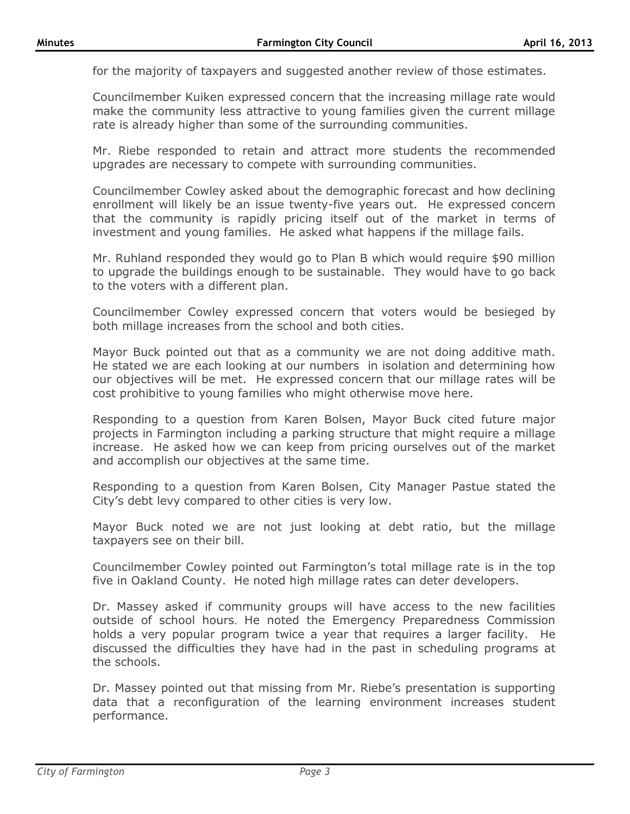for the majority of taxpayers and suggested another review of those estimates.

Councilmember Kuiken expressed concern that the increasing millage rate would make the community less attractive to young families given the current millage rate is already higher than some of the surrounding communities.

Mr. Riebe responded to retain and attract more students the recommended upgrades are necessary to compete with surrounding communities.

Councilmember Cowley asked about the demographic forecast and how declining enrollment will likely be an issue twenty-five years out. He expressed concern that the community is rapidly pricing itself out of the market in terms of investment and young families. He asked what happens if the millage fails.

Mr. Ruhland responded they would go to Plan B which would require \$90 million to upgrade the buildings enough to be sustainable. They would have to go back to the voters with a different plan.

Councilmember Cowley expressed concern that voters would be besieged by both millage increases from the school and both cities.

Mayor Buck pointed out that as a community we are not doing additive math. He stated we are each looking at our numbers in isolation and determining how our objectives will be met. He expressed concern that our millage rates will be cost prohibitive to young families who might otherwise move here.

Responding to a question from Karen Bolsen, Mayor Buck cited future major projects in Farmington including a parking structure that might require a millage increase. He asked how we can keep from pricing ourselves out of the market and accomplish our objectives at the same time.

Responding to a question from Karen Bolsen, City Manager Pastue stated the City's debt levy compared to other cities is very low.

Mayor Buck noted we are not just looking at debt ratio, but the millage taxpayers see on their bill.

Councilmember Cowley pointed out Farmington's total millage rate is in the top five in Oakland County. He noted high millage rates can deter developers.

Dr. Massey asked if community groups will have access to the new facilities outside of school hours. He noted the Emergency Preparedness Commission holds a very popular program twice a year that requires a larger facility. He discussed the difficulties they have had in the past in scheduling programs at the schools.

Dr. Massey pointed out that missing from Mr. Riebe's presentation is supporting data that a reconfiguration of the learning environment increases student performance.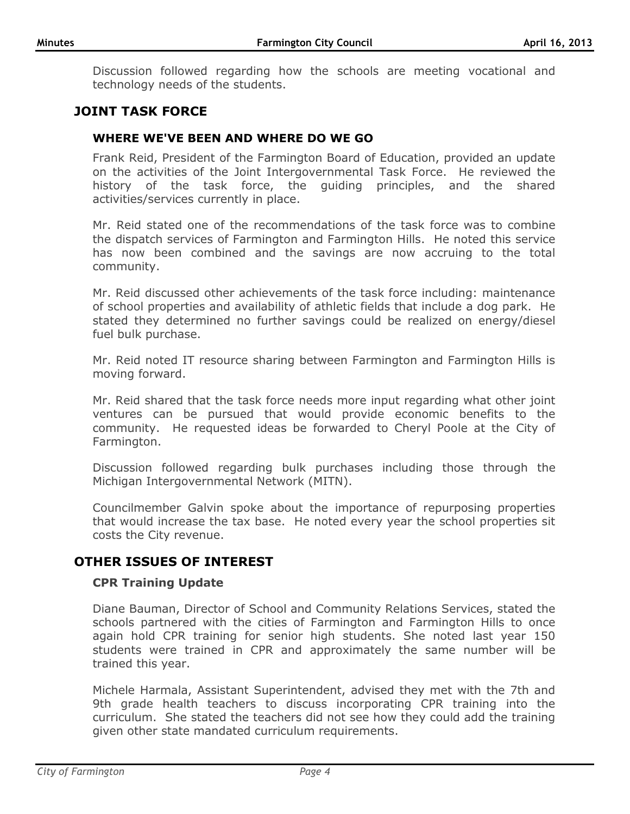Discussion followed regarding how the schools are meeting vocational and technology needs of the students.

## **JOINT TASK FORCE**

### **WHERE WE'VE BEEN AND WHERE DO WE GO**

Frank Reid, President of the Farmington Board of Education, provided an update on the activities of the Joint Intergovernmental Task Force. He reviewed the history of the task force, the guiding principles, and the shared activities/services currently in place.

Mr. Reid stated one of the recommendations of the task force was to combine the dispatch services of Farmington and Farmington Hills. He noted this service has now been combined and the savings are now accruing to the total community.

Mr. Reid discussed other achievements of the task force including: maintenance of school properties and availability of athletic fields that include a dog park. He stated they determined no further savings could be realized on energy/diesel fuel bulk purchase.

Mr. Reid noted IT resource sharing between Farmington and Farmington Hills is moving forward.

Mr. Reid shared that the task force needs more input regarding what other joint ventures can be pursued that would provide economic benefits to the community. He requested ideas be forwarded to Cheryl Poole at the City of Farmington.

Discussion followed regarding bulk purchases including those through the Michigan Intergovernmental Network (MITN).

Councilmember Galvin spoke about the importance of repurposing properties that would increase the tax base. He noted every year the school properties sit costs the City revenue.

### **OTHER ISSUES OF INTEREST**

#### **CPR Training Update**

Diane Bauman, Director of School and Community Relations Services, stated the schools partnered with the cities of Farmington and Farmington Hills to once again hold CPR training for senior high students. She noted last year 150 students were trained in CPR and approximately the same number will be trained this year.

Michele Harmala, Assistant Superintendent, advised they met with the 7th and 9th grade health teachers to discuss incorporating CPR training into the curriculum. She stated the teachers did not see how they could add the training given other state mandated curriculum requirements.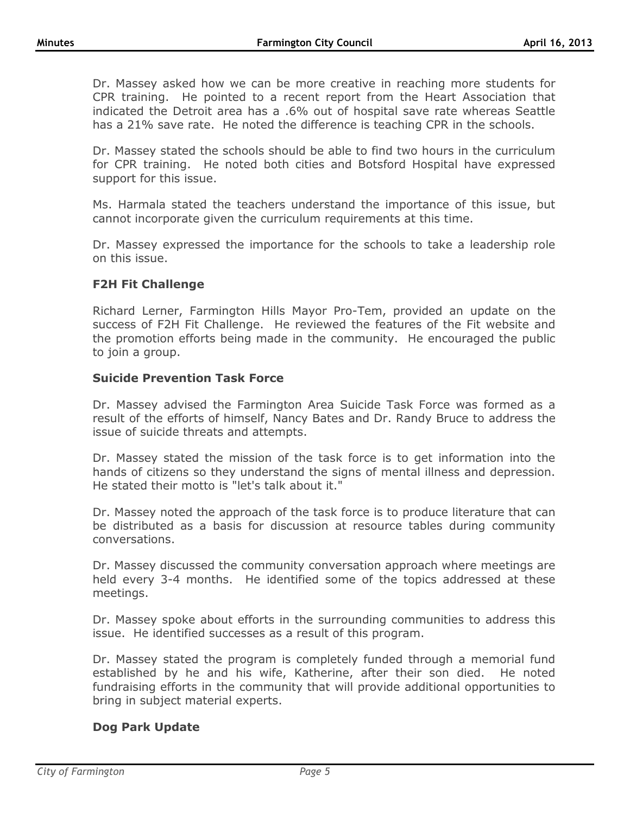Dr. Massey asked how we can be more creative in reaching more students for CPR training. He pointed to a recent report from the Heart Association that indicated the Detroit area has a .6% out of hospital save rate whereas Seattle has a 21% save rate. He noted the difference is teaching CPR in the schools.

Dr. Massey stated the schools should be able to find two hours in the curriculum for CPR training. He noted both cities and Botsford Hospital have expressed support for this issue.

Ms. Harmala stated the teachers understand the importance of this issue, but cannot incorporate given the curriculum requirements at this time.

Dr. Massey expressed the importance for the schools to take a leadership role on this issue.

### **F2H Fit Challenge**

Richard Lerner, Farmington Hills Mayor Pro-Tem, provided an update on the success of F2H Fit Challenge. He reviewed the features of the Fit website and the promotion efforts being made in the community. He encouraged the public to join a group.

#### **Suicide Prevention Task Force**

Dr. Massey advised the Farmington Area Suicide Task Force was formed as a result of the efforts of himself, Nancy Bates and Dr. Randy Bruce to address the issue of suicide threats and attempts.

Dr. Massey stated the mission of the task force is to get information into the hands of citizens so they understand the signs of mental illness and depression. He stated their motto is "let's talk about it."

Dr. Massey noted the approach of the task force is to produce literature that can be distributed as a basis for discussion at resource tables during community conversations.

Dr. Massey discussed the community conversation approach where meetings are held every 3-4 months. He identified some of the topics addressed at these meetings.

Dr. Massey spoke about efforts in the surrounding communities to address this issue. He identified successes as a result of this program.

Dr. Massey stated the program is completely funded through a memorial fund established by he and his wife, Katherine, after their son died. He noted fundraising efforts in the community that will provide additional opportunities to bring in subject material experts.

#### **Dog Park Update**